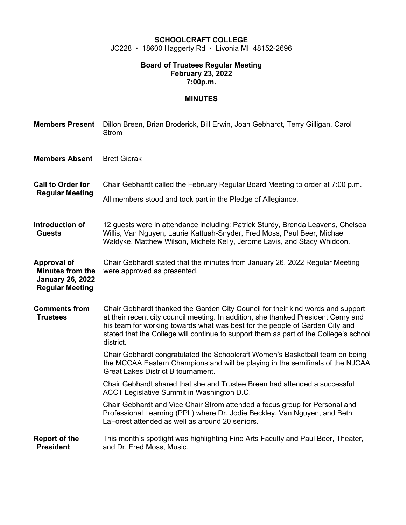# **SCHOOLCRAFT COLLEGE**

JC228 · 18600 Haggerty Rd · Livonia MI 48152-2696

#### **Board of Trustees Regular Meeting February 23, 2022 7:00p.m.**

# **MINUTES**

| <b>Members Present</b>                                                                             | Dillon Breen, Brian Broderick, Bill Erwin, Joan Gebhardt, Terry Gilligan, Carol<br><b>Strom</b>                                                                                                                                                                                                                                                             |  |  |
|----------------------------------------------------------------------------------------------------|-------------------------------------------------------------------------------------------------------------------------------------------------------------------------------------------------------------------------------------------------------------------------------------------------------------------------------------------------------------|--|--|
| <b>Members Absent</b>                                                                              | <b>Brett Gierak</b>                                                                                                                                                                                                                                                                                                                                         |  |  |
| <b>Call to Order for</b><br><b>Regular Meeting</b>                                                 | Chair Gebhardt called the February Regular Board Meeting to order at 7:00 p.m.<br>All members stood and took part in the Pledge of Allegiance.                                                                                                                                                                                                              |  |  |
| Introduction of<br><b>Guests</b>                                                                   | 12 guests were in attendance including: Patrick Sturdy, Brenda Leavens, Chelsea<br>Willis, Van Nguyen, Laurie Kattuah-Snyder, Fred Moss, Paul Beer, Michael<br>Waldyke, Matthew Wilson, Michele Kelly, Jerome Lavis, and Stacy Whiddon.                                                                                                                     |  |  |
| <b>Approval of</b><br><b>Minutes from the</b><br><b>January 26, 2022</b><br><b>Regular Meeting</b> | Chair Gebhardt stated that the minutes from January 26, 2022 Regular Meeting<br>were approved as presented.                                                                                                                                                                                                                                                 |  |  |
| <b>Comments from</b><br><b>Trustees</b>                                                            | Chair Gebhardt thanked the Garden City Council for their kind words and support<br>at their recent city council meeting. In addition, she thanked President Cerny and<br>his team for working towards what was best for the people of Garden City and<br>stated that the College will continue to support them as part of the College's school<br>district. |  |  |
|                                                                                                    | Chair Gebhardt congratulated the Schoolcraft Women's Basketball team on being<br>the MCCAA Eastern Champions and will be playing in the semifinals of the NJCAA<br><b>Great Lakes District B tournament.</b>                                                                                                                                                |  |  |
|                                                                                                    | Chair Gebhardt shared that she and Trustee Breen had attended a successful<br>ACCT Legislative Summit in Washington D.C.                                                                                                                                                                                                                                    |  |  |
|                                                                                                    | Chair Gebhardt and Vice Chair Strom attended a focus group for Personal and<br>Professional Learning (PPL) where Dr. Jodie Beckley, Van Nguyen, and Beth<br>LaForest attended as well as around 20 seniors.                                                                                                                                                 |  |  |
| <b>Report of the</b><br><b>President</b>                                                           | This month's spotlight was highlighting Fine Arts Faculty and Paul Beer, Theater,<br>and Dr. Fred Moss, Music.                                                                                                                                                                                                                                              |  |  |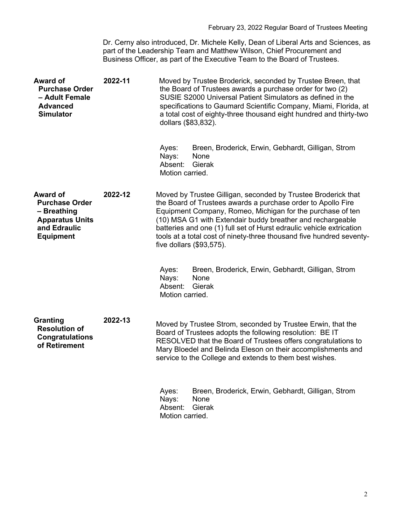Dr. Cerny also introduced, Dr. Michele Kelly, Dean of Liberal Arts and Sciences, as part of the Leadership Team and Matthew Wilson, Chief Procurement and Business Officer, as part of the Executive Team to the Board of Trustees.

| Award of<br><b>Purchase Order</b><br>- Adult Female<br><b>Advanced</b><br><b>Simulator</b>                     | 2022-11 | Moved by Trustee Broderick, seconded by Trustee Breen, that<br>the Board of Trustees awards a purchase order for two (2)<br>SUSIE S2000 Universal Patient Simulators as defined in the<br>specifications to Gaumard Scientific Company, Miami, Florida, at<br>a total cost of eighty-three thousand eight hundred and thirty-two<br>dollars (\$83,832).                                                                               |
|----------------------------------------------------------------------------------------------------------------|---------|---------------------------------------------------------------------------------------------------------------------------------------------------------------------------------------------------------------------------------------------------------------------------------------------------------------------------------------------------------------------------------------------------------------------------------------|
|                                                                                                                |         | Breen, Broderick, Erwin, Gebhardt, Gilligan, Strom<br>Ayes:<br>Nays:<br>None<br>Gierak<br>Absent:<br>Motion carried.                                                                                                                                                                                                                                                                                                                  |
| Award of<br><b>Purchase Order</b><br>- Breathing<br><b>Apparatus Units</b><br>and Edraulic<br><b>Equipment</b> | 2022-12 | Moved by Trustee Gilligan, seconded by Trustee Broderick that<br>the Board of Trustees awards a purchase order to Apollo Fire<br>Equipment Company, Romeo, Michigan for the purchase of ten<br>(10) MSA G1 with Extendair buddy breather and rechargeable<br>batteries and one (1) full set of Hurst edraulic vehicle extrication<br>tools at a total cost of ninety-three thousand five hundred seventy-<br>five dollars (\$93,575). |
|                                                                                                                |         | Ayes:<br>Breen, Broderick, Erwin, Gebhardt, Gilligan, Strom<br>Nays:<br>None<br>Gierak<br>Absent:<br>Motion carried.                                                                                                                                                                                                                                                                                                                  |
| Granting<br><b>Resolution of</b><br><b>Congratulations</b><br>of Retirement                                    | 2022-13 | Moved by Trustee Strom, seconded by Trustee Erwin, that the<br>Board of Trustees adopts the following resolution: BE IT<br>RESOLVED that the Board of Trustees offers congratulations to<br>Mary Bloedel and Belinda Eleson on their accomplishments and<br>service to the College and extends to them best wishes.                                                                                                                   |
|                                                                                                                |         | Breen, Broderick, Erwin, Gebhardt, Gilligan, Strom<br>Ayes:<br>Nays:<br>None<br>Absent:<br>Gierak<br>Motion carried.                                                                                                                                                                                                                                                                                                                  |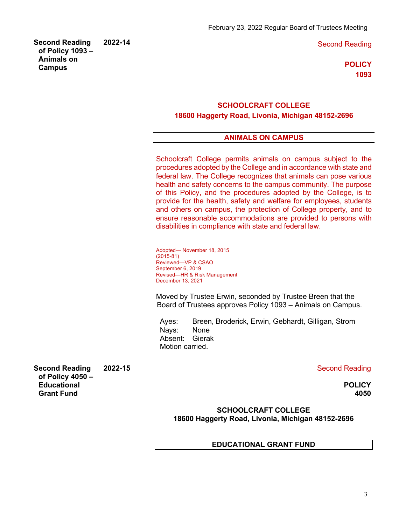**2022-14** Second Reading

**POLICY 1093**

# **SCHOOLCRAFT COLLEGE**

**18600 Haggerty Road, Livonia, Michigan 48152-2696**

## **ANIMALS ON CAMPUS**

Schoolcraft College permits animals on campus subject to the procedures adopted by the College and in accordance with state and federal law. The College recognizes that animals can pose various health and safety concerns to the campus community. The purpose of this Policy, and the procedures adopted by the College, is to provide for the health, safety and welfare for employees, students and others on campus, the protection of College property, and to ensure reasonable accommodations are provided to persons with disabilities in compliance with state and federal law.

Adopted— November 18, 2015 (2015-81) Reviewed—VP & CSAO September 6, 2019 Revised—HR & Risk Management December 13, 2021

Moved by Trustee Erwin, seconded by Trustee Breen that the Board of Trustees approves Policy 1093 – Animals on Campus.

Ayes: Breen, Broderick, Erwin, Gebhardt, Gilligan, Strom Nays: None Absent: Gierak Motion carried.

**2022-15** Second Reading

**POLICY 4050**

**SCHOOLCRAFT COLLEGE 18600 Haggerty Road, Livonia, Michigan 48152-2696**

#### **EDUCATIONAL GRANT FUND**

**Second Reading of Policy 4050 – Educational Grant Fund**

**Second Reading of Policy 1093 – Animals on Campus**

3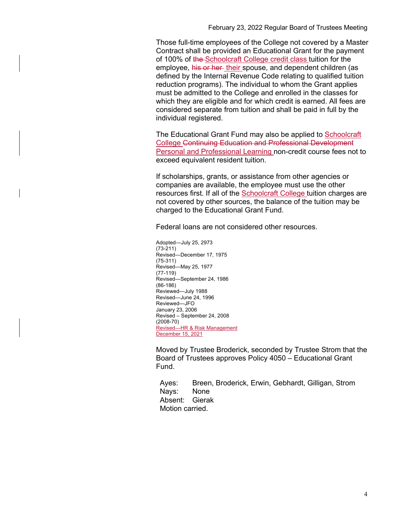February 23, 2022 Regular Board of Trustees Meeting

Those full-time employees of the College not covered by a Master Contract shall be provided an Educational Grant for the payment of 100% of the Schoolcraft College credit class tuition for the employee, his or her their spouse, and dependent children (as defined by the Internal Revenue Code relating to qualified tuition reduction programs). The individual to whom the Grant applies must be admitted to the College and enrolled in the classes for which they are eligible and for which credit is earned. All fees are considered separate from tuition and shall be paid in full by the individual registered.

The Educational Grant Fund may also be applied to Schoolcraft College Continuing Education and Professional Development Personal and Professional Learning non-credit course fees not to exceed equivalent resident tuition.

If scholarships, grants, or assistance from other agencies or companies are available, the employee must use the other resources first. If all of the **Schoolcraft College** tuition charges are not covered by other sources, the balance of the tuition may be charged to the Educational Grant Fund.

Federal loans are not considered other resources.

Adopted—July 25, 2973 (73-211) Revised—December 17, 1975 (75-311) Revised—May 25, 1977 (77-119) Revised—September 24, 1986 (86-186) Reviewed—July 1988 Revised—June 24, 1996 Reviewed—JFO January 23, 2006 Revised – September 24, 2008 (2008-70) Revised—HR & Risk Management December 15, 2021

Moved by Trustee Broderick, seconded by Trustee Strom that the Board of Trustees approves Policy 4050 – Educational Grant Fund.

Ayes: Breen, Broderick, Erwin, Gebhardt, Gilligan, Strom Nays: None Absent: Gierak Motion carried.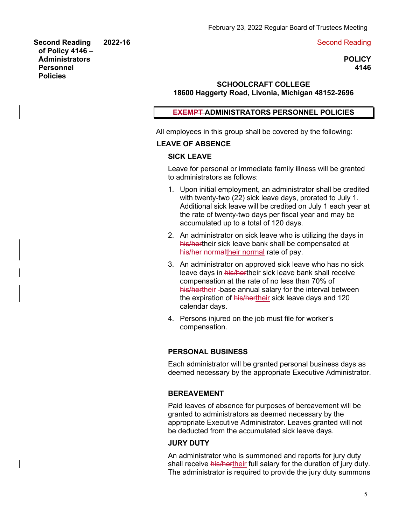#### **2022-16** Second Reading

**Second Reading of Policy 4146 – Administrators Personnel Policies**

**POLICY 4146**

# **SCHOOLCRAFT COLLEGE 18600 Haggerty Road, Livonia, Michigan 48152-2696**

#### **EXEMPT ADMINISTRATORS PERSONNEL POLICIES**

All employees in this group shall be covered by the following:

# **LEAVE OF ABSENCE**

#### **SICK LEAVE**

Leave for personal or immediate family illness will be granted to administrators as follows:

- 1. Upon initial employment, an administrator shall be credited with twenty-two (22) sick leave days, prorated to July 1. Additional sick leave will be credited on July 1 each year at the rate of twenty-two days per fiscal year and may be accumulated up to a total of 120 days.
- 2. An administrator on sick leave who is utilizing the days in his/hertheir sick leave bank shall be compensated at his/her normaltheir normal rate of pay.
- 3. An administrator on approved sick leave who has no sick leave days in his/hertheir sick leave bank shall receive compensation at the rate of no less than 70% of his/hertheir -base annual salary for the interval between the expiration of his/hertheir sick leave days and 120 calendar days.
- 4. Persons injured on the job must file for worker's compensation.

#### **PERSONAL BUSINESS**

Each administrator will be granted personal business days as deemed necessary by the appropriate Executive Administrator.

#### **BEREAVEMENT**

Paid leaves of absence for purposes of bereavement will be granted to administrators as deemed necessary by the appropriate Executive Administrator. Leaves granted will not be deducted from the accumulated sick leave days.

#### **JURY DUTY**

An administrator who is summoned and reports for jury duty shall receive his/hertheir full salary for the duration of jury duty. The administrator is required to provide the jury duty summons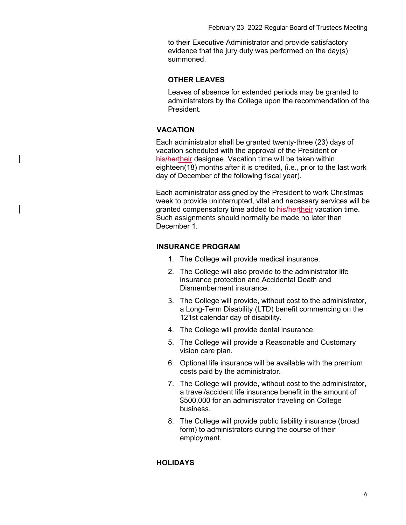to their Executive Administrator and provide satisfactory evidence that the jury duty was performed on the day(s) summoned.

## **OTHER LEAVES**

Leaves of absence for extended periods may be granted to administrators by the College upon the recommendation of the President.

# **VACATION**

Each administrator shall be granted twenty-three (23) days of vacation scheduled with the approval of the President or his/hertheir designee. Vacation time will be taken within eighteen(18) months after it is credited, (i.e., prior to the last work day of December of the following fiscal year).

Each administrator assigned by the President to work Christmas week to provide uninterrupted, vital and necessary services will be granted compensatory time added to his/hertheir vacation time. Such assignments should normally be made no later than December 1.

# **INSURANCE PROGRAM**

- 1. The College will provide medical insurance.
- 2. The College will also provide to the administrator life insurance protection and Accidental Death and Dismemberment insurance.
- 3. The College will provide, without cost to the administrator, a Long-Term Disability (LTD) benefit commencing on the 121st calendar day of disability.
- 4. The College will provide dental insurance.
- 5. The College will provide a Reasonable and Customary vision care plan.
- 6. Optional life insurance will be available with the premium costs paid by the administrator.
- 7. The College will provide, without cost to the administrator, a travel/accident life insurance benefit in the amount of \$500,000 for an administrator traveling on College business.
- 8. The College will provide public liability insurance (broad form) to administrators during the course of their employment.

# **HOLIDAYS**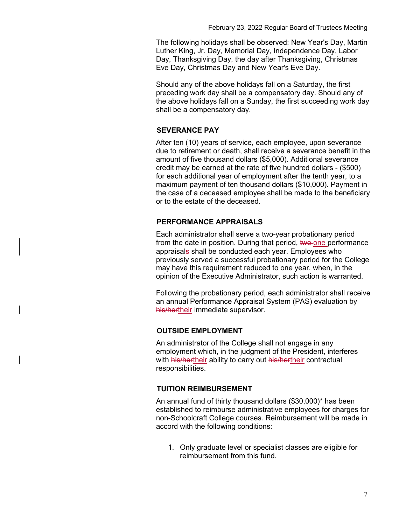The following holidays shall be observed: New Year's Day, Martin Luther King, Jr. Day, Memorial Day, Independence Day, Labor Day, Thanksgiving Day, the day after Thanksgiving, Christmas Eve Day, Christmas Day and New Year's Eve Day.

Should any of the above holidays fall on a Saturday, the first preceding work day shall be a compensatory day. Should any of the above holidays fall on a Sunday, the first succeeding work day shall be a compensatory day.

## **SEVERANCE PAY**

After ten (10) years of service, each employee, upon severance due to retirement or death, shall receive a severance benefit in the amount of five thousand dollars (\$5,000). Additional severance credit may be earned at the rate of five hundred dollars - (\$500) for each additional year of employment after the tenth year, to a maximum payment of ten thousand dollars (\$10,000). Payment in the case of a deceased employee shall be made to the beneficiary or to the estate of the deceased.

# **PERFORMANCE APPRAISALS**

Each administrator shall serve a two-year probationary period from the date in position. During that period, two one performance appraisals shall be conducted each year. Employees who previously served a successful probationary period for the College may have this requirement reduced to one year, when, in the opinion of the Executive Administrator, such action is warranted.

Following the probationary period, each administrator shall receive an annual Performance Appraisal System (PAS) evaluation by his/hertheir immediate supervisor.

# **OUTSIDE EMPLOYMENT**

An administrator of the College shall not engage in any employment which, in the judgment of the President, interferes with his/hertheir ability to carry out his/hertheir contractual responsibilities.

#### **TUITION REIMBURSEMENT**

An annual fund of thirty thousand dollars (\$30,000)\* has been established to reimburse administrative employees for charges for non-Schoolcraft College courses. Reimbursement will be made in accord with the following conditions:

1. Only graduate level or specialist classes are eligible for reimbursement from this fund.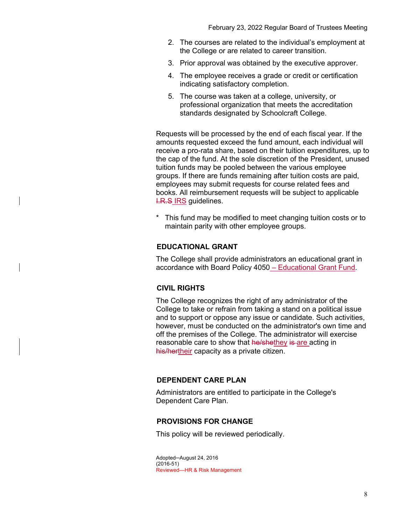- 2. The courses are related to the individual's employment at the College or are related to career transition.
- 3. Prior approval was obtained by the executive approver.
- 4. The employee receives a grade or credit or certification indicating satisfactory completion.
- 5. The course was taken at a college, university, or professional organization that meets the accreditation standards designated by Schoolcraft College.

Requests will be processed by the end of each fiscal year. If the amounts requested exceed the fund amount, each individual will receive a pro-rata share, based on their tuition expenditures, up to the cap of the fund. At the sole discretion of the President, unused tuition funds may be pooled between the various employee groups. If there are funds remaining after tuition costs are paid, employees may submit requests for course related fees and books. All reimbursement requests will be subject to applicable **I.R.S IRS quidelines.** 

\* This fund may be modified to meet changing tuition costs or to maintain parity with other employee groups.

# **EDUCATIONAL GRANT**

The College shall provide administrators an educational grant in accordance with Board Policy 4050 – Educational Grant Fund.

# **CIVIL RIGHTS**

The College recognizes the right of any administrator of the College to take or refrain from taking a stand on a political issue and to support or oppose any issue or candidate. Such activities, however, must be conducted on the administrator's own time and off the premises of the College. The administrator will exercise reasonable care to show that he/shethey is are acting in his/hertheir capacity as a private citizen.

# **DEPENDENT CARE PLAN**

Administrators are entitled to participate in the College's Dependent Care Plan.

#### **PROVISIONS FOR CHANGE**

This policy will be reviewed periodically.

Adopted─August 24, 2016 (2016-51) Reviewed—HR & Risk Management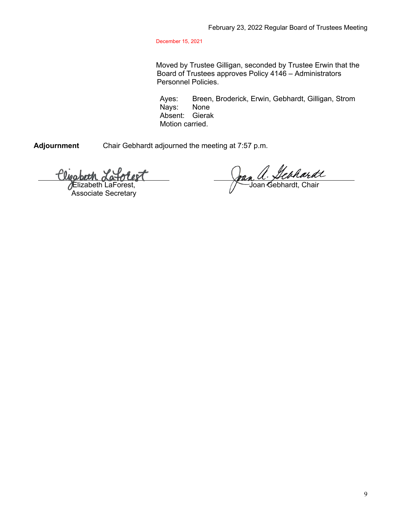December 15, 2021

Moved by Trustee Gilligan, seconded by Trustee Erwin that the Board of Trustees approves Policy 4146 – Administrators Personnel Policies.

Ayes: Breen, Broderick, Erwin, Gebhardt, Gilligan, Strom Nays: None Absent: Gierak Motion carried.

**Adjournment** Chair Gebhardt adjourned the meeting at 7:57 p.m.

olest Wabeth

Elizabeth LaForest, Associate Secretary

Joan a. Lebhardt